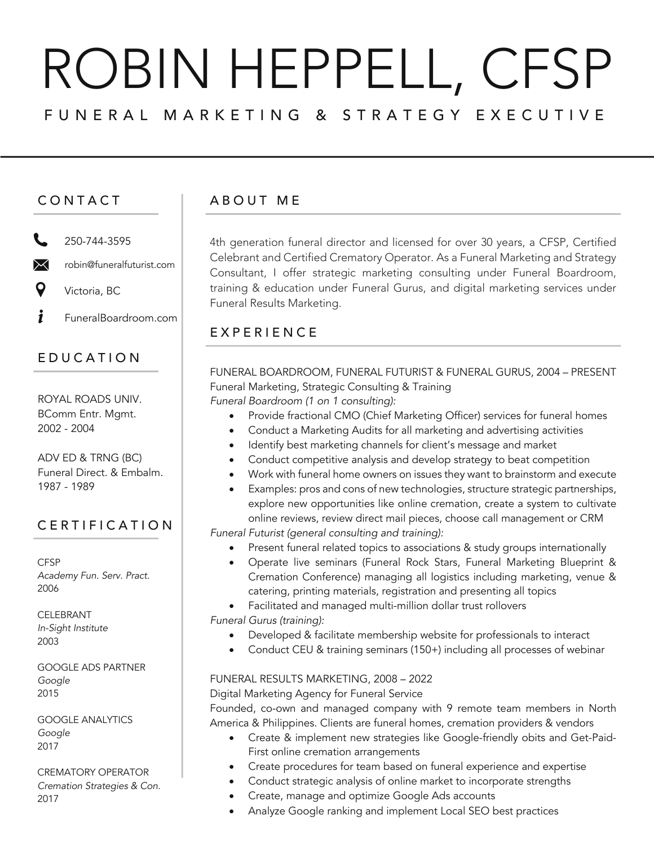# ROBIN HEPPELL, CFSP FUNERAL MARKETING & STRATEGY EXECUTIVE

### CONTACT

250-744-3595

 $\bowtie$ robin@funeralfuturist.com

Victoria, BC

i FuneralBoardroom.com

## EDUCATION

ROYAL ROADS UNIV. BComm Entr. Mgmt. 2002 - 2004

ADV ED & TRNG (BC) Funeral Direct. & Embalm. 1987 - 1989

## CERTIFICATION

**CFSP** *Academy Fun. Serv. Pract.* 2006

CELEBRANT *In-Sight Institute* 2003

GOOGLE ADS PARTNER *Google* 2015

GOOGLE ANALYTICS *Google* 2017

CREMATORY OPERATOR *Cremation Strategies & Con.* 2017

### ABOUT M E

4th generation funeral director and licensed for over 30 years, a CFSP, Certified Celebrant and Certified Crematory Operator. As a Funeral Marketing and Strategy Consultant, I offer strategic marketing consulting under Funeral Boardroom, training & education under Funeral Gurus, and digital marketing services under Funeral Results Marketing.

### **EXPERIENCE**

FUNERAL BOARDROOM, FUNERAL FUTURIST & FUNERAL GURUS, 2004 – PRESENT Funeral Marketing, Strategic Consulting & Training *Funeral Boardroom (1 on 1 consulting):*

- Provide fractional CMO (Chief Marketing Officer) services for funeral homes
- Conduct a Marketing Audits for all marketing and advertising activities
- Identify best marketing channels for client's message and market
- Conduct competitive analysis and develop strategy to beat competition
- Work with funeral home owners on issues they want to brainstorm and execute
- Examples: pros and cons of new technologies, structure strategic partnerships, explore new opportunities like online cremation, create a system to cultivate online reviews, review direct mail pieces, choose call management or CRM *Funeral Futurist (general consulting and training):*
	- Present funeral related topics to associations & study groups internationally
	- Operate live seminars (Funeral Rock Stars, Funeral Marketing Blueprint & Cremation Conference) managing all logistics including marketing, venue & catering, printing materials, registration and presenting all topics
- Facilitated and managed multi-million dollar trust rollovers *Funeral Gurus (training):*
	- Developed & facilitate membership website for professionals to interact
	- Conduct CEU & training seminars (150+) including all processes of webinar

#### FUNERAL RESULTS MARKETING, 2008 – 2022

#### Digital Marketing Agency for Funeral Service

Founded, co-own and managed company with 9 remote team members in North America & Philippines. Clients are funeral homes, cremation providers & vendors

- Create & implement new strategies like Google-friendly obits and Get-Paid-First online cremation arrangements
- Create procedures for team based on funeral experience and expertise
- Conduct strategic analysis of online market to incorporate strengths
- Create, manage and optimize Google Ads accounts
- Analyze Google ranking and implement Local SEO best practices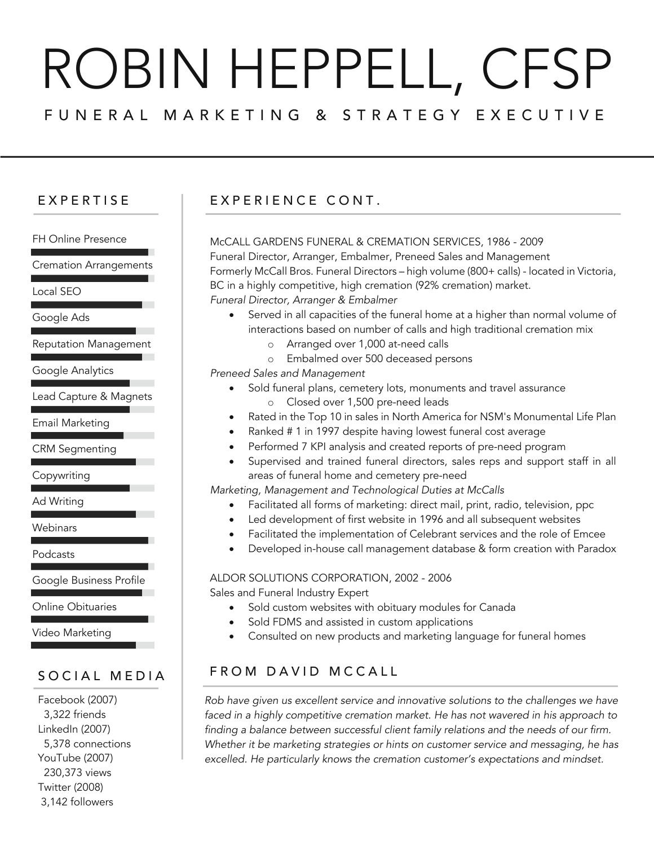# ROBIN HEPPELL, CFSP FUNERAL MARKETING & STRATEG Y EXECUTIVE

FH Online Presence

Cremation Arrangements

Local SEO

Google Ads

Reputation Management

Google Analytics

Lead Capture & Magnets

Email Marketing

CRM Segmenting

Copywriting

Ad Writing

**Webinars** 

Podcasts

Google Business Profile

Online Obituaries

Video Marketing

#### SOCIAL MEDIA

Facebook (2007) 3,322 friends LinkedIn (2007) 5,378 connections YouTube (2007) 230,373 views Twitter (2008) 3,142 followers

# EXPERTISE EXPERIENCE CONT.

McCALL GARDENS FUNERAL & CREMATION SERVICES, 1986 - 2009 Funeral Director, Arranger, Embalmer, Preneed Sales and Management Formerly McCall Bros. Funeral Directors – high volume (800+ calls) - located in Victoria, BC in a highly competitive, high cremation (92% cremation) market. *Funeral Director, Arranger & Embalmer*

- Served in all capacities of the funeral home at a higher than normal volume of interactions based on number of calls and high traditional cremation mix
	- o Arranged over 1,000 at-need calls
	- o Embalmed over 500 deceased persons

*Preneed Sales and Management*

- Sold funeral plans, cemetery lots, monuments and travel assurance o Closed over 1,500 pre-need leads
- Rated in the Top 10 in sales in North America for NSM's Monumental Life Plan
- Ranked # 1 in 1997 despite having lowest funeral cost average
- Performed 7 KPI analysis and created reports of pre-need program
- Supervised and trained funeral directors, sales reps and support staff in all areas of funeral home and cemetery pre-need

*Marketing, Management and Technological Duties at McCalls*

- Facilitated all forms of marketing: direct mail, print, radio, television, ppc
- Led development of first website in 1996 and all subsequent websites
- Facilitated the implementation of Celebrant services and the role of Emcee
- Developed in-house call management database & form creation with Paradox

ALDOR SOLUTIONS CORPORATION, 2002 - 2006

Sales and Funeral Industry Expert

- Sold custom websites with obituary modules for Canada
- Sold FDMS and assisted in custom applications
- Consulted on new products and marketing language for funeral homes

# FROM DAVID MCCALL

*Rob have given us excellent service and innovative solutions to the challenges we have faced in a highly competitive cremation market. He has not wavered in his approach to finding a balance between successful client family relations and the needs of our firm. Whether it be marketing strategies or hints on customer service and messaging, he has excelled. He particularly knows the cremation customer's expectations and mindset.*